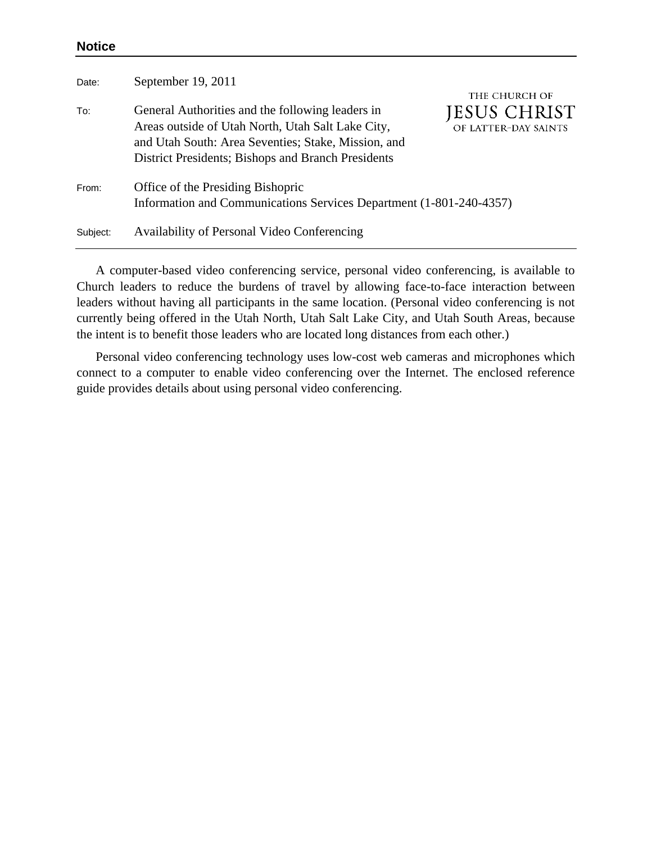## **Notice**

| Date:    | September 19, 2011                                                                                                                                                                                                 | THE CHURCH OF                        |
|----------|--------------------------------------------------------------------------------------------------------------------------------------------------------------------------------------------------------------------|--------------------------------------|
| To:      | General Authorities and the following leaders in<br>Areas outside of Utah North, Utah Salt Lake City,<br>and Utah South: Area Seventies; Stake, Mission, and<br>District Presidents; Bishops and Branch Presidents | JESUS CHRIST<br>OF LATTER-DAY SAINTS |
| From:    | Office of the Presiding Bishopric<br>Information and Communications Services Department (1-801-240-4357)                                                                                                           |                                      |
| Subject: | Availability of Personal Video Conferencing                                                                                                                                                                        |                                      |

A computer-based video conferencing service, personal video conferencing, is available to Church leaders to reduce the burdens of travel by allowing face-to-face interaction between leaders without having all participants in the same location. (Personal video conferencing is not currently being offered in the Utah North, Utah Salt Lake City, and Utah South Areas, because the intent is to benefit those leaders who are located long distances from each other.)

Personal video conferencing technology uses low-cost web cameras and microphones which connect to a computer to enable video conferencing over the Internet. The enclosed reference guide provides details about using personal video conferencing.